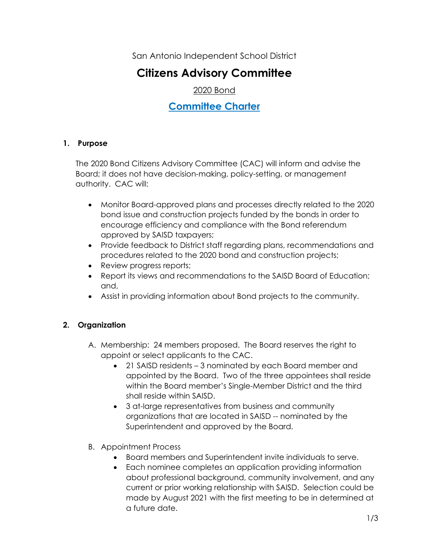San Antonio Independent School District

# **Citizens Advisory Committee**

2020 Bond

## **Committee Charter**

## **1. Purpose**

The 2020 Bond Citizens Advisory Committee (CAC) will inform and advise the Board; it does not have decision-making, policy-setting, or management authority. CAC will:

- Monitor Board-approved plans and processes directly related to the 2020 bond issue and construction projects funded by the bonds in order to encourage efficiency and compliance with the Bond referendum approved by SAISD taxpayers;
- Provide feedback to District staff regarding plans, recommendations and procedures related to the 2020 bond and construction projects;
- Review progress reports;
- Report its views and recommendations to the SAISD Board of Education; and,
- Assist in providing information about Bond projects to the community.

## **2. Organization**

- A. Membership: 24 members proposed. The Board reserves the right to appoint or select applicants to the CAC.
	- 21 SAISD residents 3 nominated by each Board member and appointed by the Board. Two of the three appointees shall reside within the Board member's Single-Member District and the third shall reside within SAISD.
	- 3 at-large representatives from business and community organizations that are located in SAISD -- nominated by the Superintendent and approved by the Board.
- B. Appointment Process
	- Board members and Superintendent invite individuals to serve.
	- Each nominee completes an application providing information about professional background, community involvement, and any current or prior working relationship with SAISD. Selection could be made by August 2021 with the first meeting to be in determined at a future date.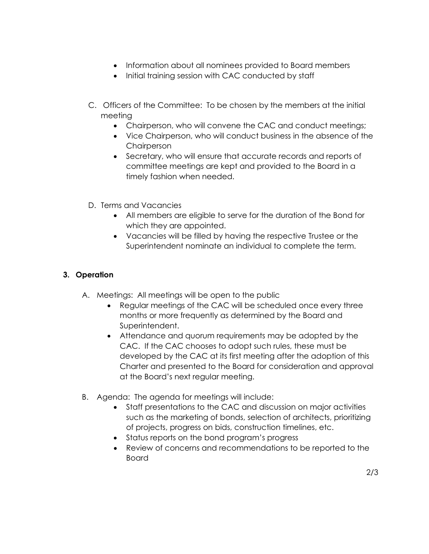- Information about all nominees provided to Board members
- Initial training session with CAC conducted by staff
- C. Officers of the Committee: To be chosen by the members at the initial meeting
	- Chairperson, who will convene the CAC and conduct meetings;
	- Vice Chairperson, who will conduct business in the absence of the **Chairperson**
	- Secretary, who will ensure that accurate records and reports of committee meetings are kept and provided to the Board in a timely fashion when needed.
- D. Terms and Vacancies
	- All members are eligible to serve for the duration of the Bond for which they are appointed.
	- Vacancies will be filled by having the respective Trustee or the Superintendent nominate an individual to complete the term.

#### **3. Operation**

- A. Meetings: All meetings will be open to the public
	- Regular meetings of the CAC will be scheduled once every three months or more frequently as determined by the Board and Superintendent.
	- Attendance and quorum requirements may be adopted by the CAC. If the CAC chooses to adopt such rules, these must be developed by the CAC at its first meeting after the adoption of this Charter and presented to the Board for consideration and approval at the Board's next regular meeting.
- B. Agenda: The agenda for meetings will include:
	- Staff presentations to the CAC and discussion on major activities such as the marketing of bonds, selection of architects, prioritizing of projects, progress on bids, construction timelines, etc.
	- Status reports on the bond program's progress
	- Review of concerns and recommendations to be reported to the Board